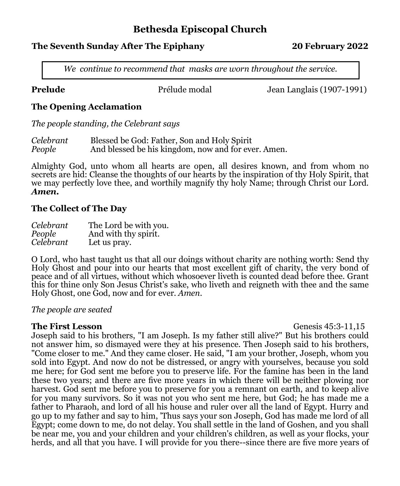# **Bethesda Episcopal Church**

# **The Seventh Sunday After The Epiphany 20 20 February 2022**

*We continue to recommend that masks are worn throughout the service.* 

**Prelude Prélude modal** Jean Langlais (1907-1991)

# **The Opening Acclamation**

*The people standing, the Celebrant says*

*Celebrant* Blessed be God: Father, Son and Holy Spirit *People* And blessed be his kingdom, now and for eve And blessed be his kingdom, now and for ever. Amen.

Almighty God, unto whom all hearts are open, all desires known, and from whom no secrets are hid: Cleanse the thoughts of our hearts by the inspiration of thy Holy Spirit, that we may perfectly love thee, and worthily magnify thy holy Name; through Christ our Lord. *Amen.* 

# **The Collect of The Day**

| Celebrant | The Lord be with you. |
|-----------|-----------------------|
| People    | And with thy spirit.  |
| Celebrant | Let us pray.          |

O Lord, who hast taught us that all our doings without charity are nothing worth: Send thy Holy Ghost and pour into our hearts that most excellent gift of charity, the very bond of peace and of all virtues, without which whosoever liveth is counted dead before thee. Grant this for thine only Son Jesus Christ's sake, who liveth and reigneth with thee and the same Holy Ghost, one God, now and for ever. *Amen.*

# *The people are seated*

**The First Lesson Genesis 45:3-11,15** 

Joseph said to his brothers, "I am Joseph. Is my father still alive?" But his brothers could not answer him, so dismayed were they at his presence. Then Joseph said to his brothers, "Come closer to me." And they came closer. He said, "I am your brother, Joseph, whom you sold into Egypt. And now do not be distressed, or angry with yourselves, because you sold me here; for God sent me before you to preserve life. For the famine has been in the land these two years; and there are five more years in which there will be neither plowing nor harvest. God sent me before you to preserve for you a remnant on earth, and to keep alive for you many survivors. So it was not you who sent me here, but God; he has made me a father to Pharaoh, and lord of all his house and ruler over all the land of Egypt. Hurry and go up to my father and say to him, 'Thus says your son Joseph, God has made me lord of all Egypt; come down to me, do not delay. You shall settle in the land of Goshen, and you shall be near me, you and your children and your children's children, as well as your flocks, your herds, and all that you have. I will provide for you there--since there are five more years of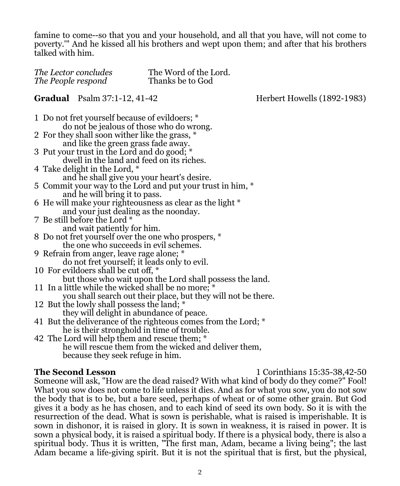famine to come--so that you and your household, and all that you have, will not come to poverty.'" And he kissed all his brothers and wept upon them; and after that his brothers talked with him.

| The Lector concludes | The Word of the Lord. |
|----------------------|-----------------------|
| The People respond   | Thanks be to God      |
|                      |                       |

# **Gradual** Psalm 37:1-12, 41-42 Herbert Howells (1892-1983)

| do not be jealous of those who do wrong.<br>2 For they shall soon wither like the grass, * |
|--------------------------------------------------------------------------------------------|
|                                                                                            |
|                                                                                            |
| and like the green grass fade away.                                                        |
| 3 Put your trust in the Lord and do good; *                                                |
| dwell in the land and feed on its riches.                                                  |
| 4 Take delight in the Lord, *                                                              |
| and he shall give you your heart's desire.                                                 |
| 5 Commit your way to the Lord and put your trust in him, *                                 |
| and he will bring it to pass.                                                              |
| 6 He will make your righteousness as clear as the light *                                  |
| and your just dealing as the noonday.                                                      |
| 7 Be still before the Lord *                                                               |
| and wait patiently for him.                                                                |
| 8 Do not fret yourself over the one who prospers, *                                        |
| the one who succeeds in evil schemes.                                                      |
| 9 Refrain from anger, leave rage alone; *                                                  |
| do not fret yourself; it leads only to evil.                                               |
| 10 For evildoers shall be cut off, *                                                       |
| but those who wait upon the Lord shall possess the land.                                   |
| 11 In a little while the wicked shall be no more; *                                        |
| you shall search out their place, but they will not be there.                              |
| 12 But the lowly shall possess the land; *                                                 |
| they will delight in abundance of peace.                                                   |
|                                                                                            |
| he is their stronghold in time of trouble.                                                 |
| 42 The Lord will help them and rescue them; *                                              |
| he will rescue them from the wicked and deliver them,                                      |
| 41 But the deliverance of the righteous comes from the Lord; *                             |
|                                                                                            |

### because they seek refuge in him.

### **The Second Lesson 1 Corinthians 15:35-38,42-50**

Someone will ask, "How are the dead raised? With what kind of body do they come?" Fool! What you sow does not come to life unless it dies. And as for what you sow, you do not sow the body that is to be, but a bare seed, perhaps of wheat or of some other grain. But God gives it a body as he has chosen, and to each kind of seed its own body. So it is with the resurrection of the dead. What is sown is perishable, what is raised is imperishable. It is sown in dishonor, it is raised in glory. It is sown in weakness, it is raised in power. It is sown a physical body, it is raised a spiritual body. If there is a physical body, there is also a spiritual body. Thus it is written, "The first man, Adam, became a living being"; the last Adam became a life-giving spirit. But it is not the spiritual that is first, but the physical,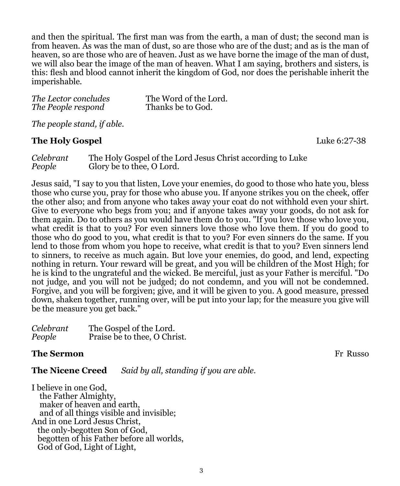and then the spiritual. The first man was from the earth, a man of dust; the second man is from heaven. As was the man of dust, so are those who are of the dust; and as is the man of heaven, so are those who are of heaven. Just as we have borne the image of the man of dust, we will also bear the image of the man of heaven. What I am saying, brothers and sisters, is this: flesh and blood cannot inherit the kingdom of God, nor does the perishable inherit the imperishable.

| The Lector concludes | The Word of the Lord. |
|----------------------|-----------------------|
| The People respond   | Thanks be to God.     |

*The people stand, if able.*

# **The Holy Gospel Luke 6:27-38**

*Celebrant* The Holy Gospel of the Lord Jesus Christ according to Luke *People* Glory be to thee, O Lord.

Jesus said, "I say to you that listen, Love your enemies, do good to those who hate you, bless those who curse you, pray for those who abuse you. If anyone strikes you on the cheek, offer the other also; and from anyone who takes away your coat do not withhold even your shirt. Give to everyone who begs from you; and if anyone takes away your goods, do not ask for them again. Do to others as you would have them do to you. "If you love those who love you, what credit is that to you? For even sinners love those who love them. If you do good to those who do good to you, what credit is that to you? For even sinners do the same. If you lend to those from whom you hope to receive, what credit is that to you? Even sinners lend to sinners, to receive as much again. But love your enemies, do good, and lend, expecting nothing in return. Your reward will be great, and you will be children of the Most High; for he is kind to the ungrateful and the wicked. Be merciful, just as your Father is merciful. "Do not judge, and you will not be judged; do not condemn, and you will not be condemned. Forgive, and you will be forgiven; give, and it will be given to you. A good measure, pressed down, shaken together, running over, will be put into your lap; for the measure you give will be the measure you get back."

| Celebrant | The Gospel of the Lord.      |
|-----------|------------------------------|
| People    | Praise be to thee, O Christ. |

# **The Sermon** Fr Russo

**The Nicene Creed** *Said by all, standing if you are able.*

I believe in one God, the Father Almighty, maker of heaven and earth, and of all things visible and invisible; And in one Lord Jesus Christ, the only-begotten Son of God, begotten of his Father before all worlds, God of God, Light of Light,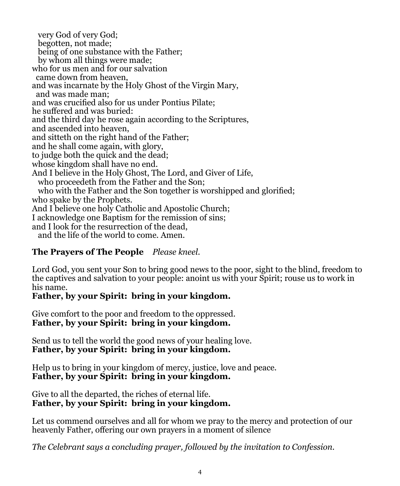very God of very God; begotten, not made; being of one substance with the Father; by whom all things were made; who for us men and for our salvation came down from heaven, and was incarnate by the Holy Ghost of the Virgin Mary, and was made man; and was crucified also for us under Pontius Pilate; he suffered and was buried: and the third day he rose again according to the Scriptures, and ascended into heaven, and sitteth on the right hand of the Father; and he shall come again, with glory, to judge both the quick and the dead; whose kingdom shall have no end. And I believe in the Holy Ghost, The Lord, and Giver of Life, who proceedeth from the Father and the Son; who with the Father and the Son together is worshipped and glorified; who spake by the Prophets. And I believe one holy Catholic and Apostolic Church; I acknowledge one Baptism for the remission of sins; and I look for the resurrection of the dead, and the life of the world to come. Amen.

# **The Prayers of The People** *Please kneel.*

Lord God, you sent your Son to bring good news to the poor, sight to the blind, freedom to the captives and salvation to your people: anoint us with your Spirit; rouse us to work in his name.

# **Father, by your Spirit: bring in your kingdom.**

Give comfort to the poor and freedom to the oppressed. **Father, by your Spirit: bring in your kingdom.**

Send us to tell the world the good news of your healing love. **Father, by your Spirit: bring in your kingdom.**

Help us to bring in your kingdom of mercy, justice, love and peace. **Father, by your Spirit: bring in your kingdom.**

Give to all the departed, the riches of eternal life. **Father, by your Spirit: bring in your kingdom.**

Let us commend ourselves and all for whom we pray to the mercy and protection of our heavenly Father, offering our own prayers in a moment of silence

*The Celebrant says a concluding prayer, followed by the invitation to Confession.*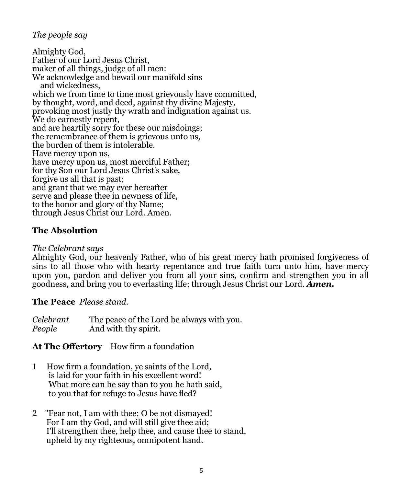*The people say*

Almighty God, Father of our Lord Jesus Christ, maker of all things, judge of all men: We acknowledge and bewail our manifold sins and wickedness, which we from time to time most grievously have committed, by thought, word, and deed, against thy divine Majesty, provoking most justly thy wrath and indignation against us. We do earnestly repent, and are heartily sorry for these our misdoings; the remembrance of them is grievous unto us, the burden of them is intolerable. Have mercy upon us, have mercy upon us, most merciful Father; for thy Son our Lord Jesus Christ's sake, forgive us all that is past; and grant that we may ever hereafter serve and please thee in newness of life, to the honor and glory of thy Name; through Jesus Christ our Lord. Amen.

# **The Absolution**

### *The Celebrant says*

Almighty God, our heavenly Father, who of his great mercy hath promised forgiveness of sins to all those who with hearty repentance and true faith turn unto him, have mercy upon you, pardon and deliver you from all your sins, confirm and strengthen you in all goodness, and bring you to everlasting life; through Jesus Christ our Lord. *Amen.*

**The Peace** *Please stand.*

*Celebrant* The peace of the Lord be always with you. *People* And with thy spirit.

# **At The Offertory** How firm a foundation

- 1 How firm a foundation, ye saints of the Lord, is laid for your faith in his excellent word! What more can he say than to you he hath said, to you that for refuge to Jesus have fled?
- 2 "Fear not, I am with thee; O be not dismayed! For I am thy God, and will still give thee aid; I'll strengthen thee, help thee, and cause thee to stand, upheld by my righteous, omnipotent hand.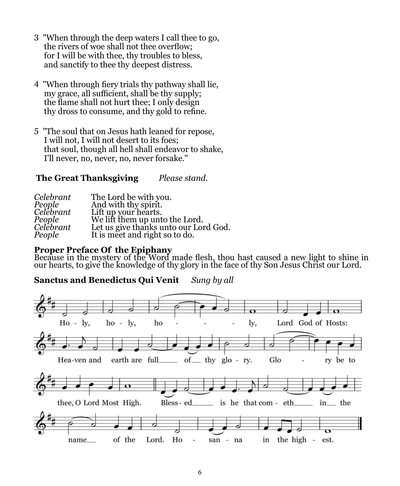- 3 "When through the deep waters I call thee to go, the rivers of woe shall not thee overflow; for I will be with thee, thy troubles to bless, and sanctify to thee thy deepest distress.
- 4 "When through fiery trials thy pathway shall lie, my grace, all sufficient, shall be thy supply; the flame shall not hurt thee; I only design thy dross to consume, and thy gold to refine.
- 5 "The soul that on Jesus hath leaned for repose, I will not, I will not desert to its foes; that soul, though all hell shall endeavor to shake, I'll never, no, never, no, never forsake."

# **The Great Thanksgiving** *Please stand.*

| Celebrant | The Lord be with you.                                                   |
|-----------|-------------------------------------------------------------------------|
| People    | And with thy spirit.                                                    |
| Celebrant | Lift up your hearts.                                                    |
| People    | We lift them up unto the Lord.                                          |
| Celebrant |                                                                         |
| People    | Let us give thanks unto our Lord God.<br>It is meet and right so to do. |

# **Proper Preface Of the Epiphany**

Because in the mystery of the Word made flesh, thou hast caused a new light to shine in our hearts, to give the knowledge of thy glory in the face of thy Son Jesus Christ our Lord.

**Sanctus and Benedictus Qui Venit** *Sung by all*

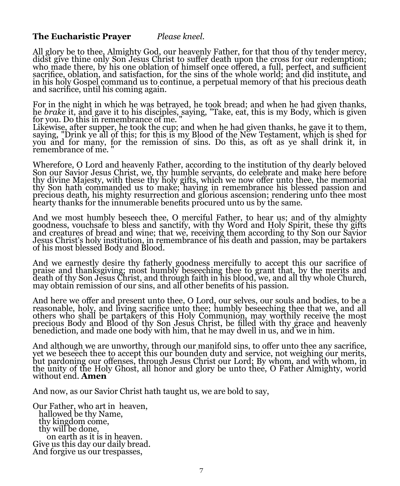### **The Eucharistic Prayer** *Please kneel.*

All glory be to thee, Almighty God, our heavenly Father, for that thou of thy tender mercy, didst give thine only Son Jesus Christ to suffer death upon the cross for our redemption; who made there, by his one oblation of himself once offered, a full, perfect, and sufficient sacrifice, oblation, and satisfaction, for the sins of the whole world; and did institute, and in his holy Gospel command us to continue, a perpetual memory of that his precious death and sacrifice, until his coming again.

For in the night in which he was betrayed, he took bread; and when he had given thanks, he *brake* it, and gave it to his disciples, saying, "Take, eat, this is my Body, which is given for you. Do this in remembrance of me. "

Likewise, after supper, he took the cup; and when he had given thanks, he gave it to them, saying, "Drink ye all of this; for this is my Blood of the New Testament, which is shed for you and for many, for the remission of sins. Do this, as oft as ye shall drink it, in remembrance of me.

Wherefore, O Lord and heavenly Father, according to the institution of thy dearly beloved Son our Savior Jesus Christ, we, thy humble servants, do celebrate and make here before thy divine Majesty, with these thy holy gifts, which we now offer unto thee, the memorial thy Son hath commanded us to make; having in remembrance his blessed passion and precious death, his mighty resurrection and glorious ascension; rendering unto thee most hearty thanks for the innumerable benefits procured unto us by the same.

And we most humbly beseech thee, O merciful Father, to hear us; and of thy almighty goodness, vouchsafe to bless and sanctify, with thy Word and Holy Spirit, these thy gifts and creatures of bread and wine; that we, receiving them according to thy Son our Savior Jesus Christ's holy institution, in remembrance of his death and passion, may be partakers of his most blessed Body and Blood.

And we earnestly desire thy fatherly goodness mercifully to accept this our sacrifice of praise and thanksgiving; most humbly beseeching thee to grant that, by the merits and death of thy Son Jesus Christ, and through faith in his blood, we, and all thy whole Church, may obtain remission of our sins, and all other benefits of his passion.

And here we offer and present unto thee, O Lord, our selves, our souls and bodies, to be a reasonable, holy, and living sacrifice unto thee; humbly beseeching thee that we, and all others who shall be partakers of this Holy Communion, may worthily receive the most precious Body and Blood of thy Son Jesus Christ, be filled with thy grace and heavenly benediction, and made one body with him, that he may dwell in us, and we in him.

And although we are unworthy, through our manifold sins, to offer unto thee any sacrifice, yet we beseech thee to accept this our bounden duty and service, not weighing our merits, but pardoning our offenses, through Jesus Christ our Lord; By whom, and with whom, in the unity of the Holy Ghost, all honor and glory be unto thee, O Father Almighty, world without end. **Amen**

And now, as our Savior Christ hath taught us, we are bold to say,

Our Father, who art in heaven, hallowed be thy Name, thy kingdom come, thy will be done, on earth as it is in heaven. Give us this day our daily bread. And forgive us our trespasses,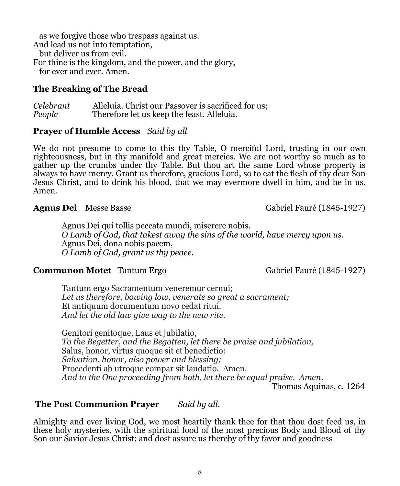as we forgive those who trespass against us. And lead us not into temptation, but deliver us from evil. For thine is the kingdom, and the power, and the glory, for ever and ever. Amen.

# **The Breaking of The Bread**

*Celebrant* Alleluia. Christ our Passover is sacrificed for us; *People* Therefore let us keep the feast. Alleluia.

# **Prayer of Humble Access** *Said by all*

We do not presume to come to this thy Table, O merciful Lord, trusting in our own righteousness, but in thy manifold and great mercies. We are not worthy so much as to gather up the crumbs under thy Table. But thou art the same Lord whose property is always to have mercy. Grant us therefore, gracious Lord, so to eat the flesh of thy dear Son Jesus Christ, and to drink his blood, that we may evermore dwell in him, and he in us. Amen*.*

**Agnus Dei** Messe Basse Gabriel Fauré (1845-1927)

Agnus Dei qui tollis peccata mundi, miserere nobis. *O Lamb of God, that takest away the sins of the world, have mercy upon us.* Agnus Dei, dona nobis pacem, *O Lamb of God, grant us thy peace*.

# **Communon Motet** Tantum Ergo Gabriel Fauré (1845-1927)

Tantum ergo Sacramentum veneremur cernui; *Let us therefore, bowing low, venerate so great a sacrament;* Et antiquum documentum novo cedat ritui. *And let the old law give way to the new rite.*

Genitori genitoque, Laus et jubilatio, *To the Begetter, and the Begotten, let there be praise and jubilation,* Salus, honor, virtus quoque sit et benedictio: *Salvation, honor, also power and blessing;* Procedenti ab utroque compar sit laudatio. Amen. *And to the One proceeding from both, let there be equal praise. Amen*.

Thomas Aquinas, c. 1264

# **The Post Communion Prayer** *Said by all.*

Almighty and ever living God, we most heartily thank thee for that thou dost feed us, in these holy mysteries, with the spiritual food of the most precious Body and Blood of thy Son our Savior Jesus Christ; and dost assure us thereby of thy favor and goodness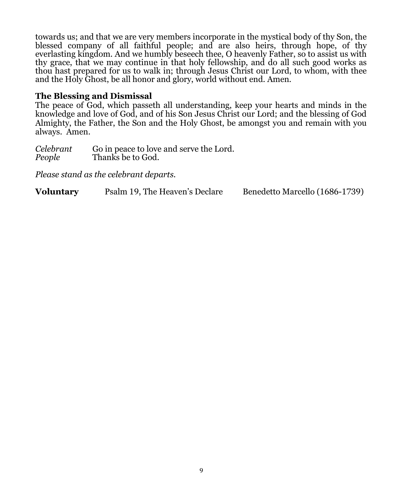towards us; and that we are very members incorporate in the mystical body of thy Son, the blessed company of all faithful people; and are also heirs, through hope, of thy everlasting kingdom. And we humbly beseech thee, O heavenly Father, so to assist us with thy grace, that we may continue in that holy fellowship, and do all such good works as thou hast prepared for us to walk in; through Jesus Christ our Lord, to whom, with thee and the Holy Ghost, be all honor and glory, world without end. Amen.

### **The Blessing and Dismissal**

The peace of God, which passeth all understanding, keep your hearts and minds in the knowledge and love of God, and of his Son Jesus Christ our Lord; and the blessing of God Almighty, the Father, the Son and the Holy Ghost, be amongst you and remain with you always. Amen.

| Celebrant | Go in peace to love and serve the Lord. |
|-----------|-----------------------------------------|
| People    | Thanks be to God.                       |

*Please stand as the celebrant departs.*

**Voluntary** Psalm 19, The Heaven's Declare Benedetto Marcello (1686-1739)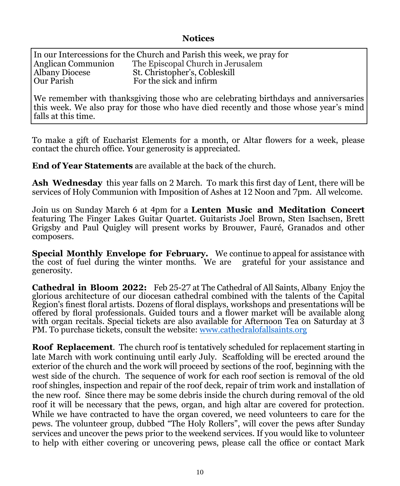## **Notices**

In our Intercessions for the Church and Parish this week, we pray for Anglican Communion The Episcopal Church in Jerusalem Albany Diocese St. Christopher's, Cobleskill<br>
Our Parish For the sick and infirm For the sick and infirm

We remember with thanksgiving those who are celebrating birthdays and anniversaries this week. We also pray for those who have died recently and those whose year's mind falls at this time.

To make a gift of Eucharist Elements for a month, or Altar flowers for a week, please contact the church office. Your generosity is appreciated.

**End of Year Statements** are available at the back of the church.

**Ash Wednesday** this year falls on 2 March. To mark this first day of Lent, there will be services of Holy Communion with Imposition of Ashes at 12 Noon and 7pm. All welcome.

Join us on Sunday March 6 at 4pm for a **Lenten Music and Meditation Concert**  featuring The Finger Lakes Guitar Quartet. Guitarists Joel Brown, Sten Isachsen, Brett Grigsby and Paul Quigley will present works by Brouwer, Fauré, Granados and other composers.

**Special Monthly Envelope for February.** We continue to appeal for assistance with the cost of fuel during the winter months. We are grateful for your assistance and generosity.

**Cathedral in Bloom 2022:** Feb 25-27 at The Cathedral of All Saints, Albany Enjoy the glorious architecture of our diocesan cathedral combined with the talents of the Capital Region's finest floral artists. Dozens of floral displays, workshops and presentations will be offered by floral professionals. Guided tours and a flower market will be available along with organ recitals. Special tickets are also available for Afternoon Tea on Saturday at 3 PM. To purchase tickets, consult the website: [www.cathedralofallsaints.org](http://www.cathedralofallsaints.org)

**Roof Replacement**. The church roof is tentatively scheduled for replacement starting in late March with work continuing until early July. Scaffolding will be erected around the exterior of the church and the work will proceed by sections of the roof, beginning with the west side of the church. The sequence of work for each roof section is removal of the old roof shingles, inspection and repair of the roof deck, repair of trim work and installation of the new roof. Since there may be some debris inside the church during removal of the old roof it will be necessary that the pews, organ, and high altar are covered for protection. While we have contracted to have the organ covered, we need volunteers to care for the pews. The volunteer group, dubbed "The Holy Rollers", will cover the pews after Sunday services and uncover the pews prior to the weekend services. If you would like to volunteer to help with either covering or uncovering pews, please call the office or contact Mark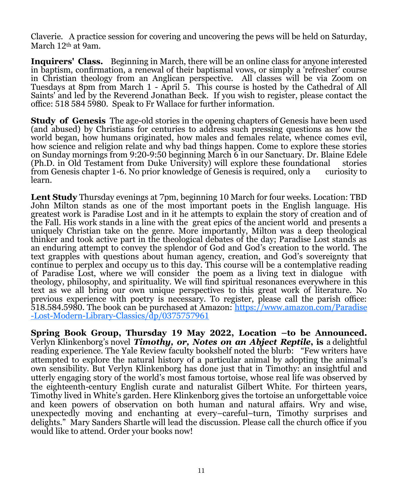Claverie. A practice session for covering and uncovering the pews will be held on Saturday, March 12th at 9am.

**Inquirers' Class.** Beginning in March, there will be an online class for anyone interested in baptism, confirmation, a renewal of their baptismal vows, or simply a 'refresher' course in Christian theology from an Anglican perspective. All classes will be via Zoom on Tuesdays at 8pm from March 1 - April 5. This course is hosted by the Cathedral of All Saints' and led by the Reverend Jonathan Beck. If you wish to register, please contact the office: 518 584 5980. Speak to Fr Wallace for further information.

**Study of Genesis** The age-old stories in the opening chapters of Genesis have been used (and abused) by Christians for centuries to address such pressing questions as how the world began, how humans originated, how males and females relate, whence comes evil, how science and religion relate and why bad things happen. Come to explore these stories on Sunday mornings from 9:20-9:50 beginning March 6 in our Sanctuary. Dr. Blaine Edele (Ph.D. in Old Testament from Duke University) will explore these foundational stories from Genesis chapter 1-6. No prior knowledge of Genesis is required, only a curiosity to learn.

**Lent Study** Thursday evenings at 7pm, beginning 10 March for four weeks. Location: TBD John Milton stands as one of the most important poets in the English language. His greatest work is Paradise Lost and in it he attempts to explain the story of creation and of the Fall. His work stands in a line with the great epics of the ancient world and presents a uniquely Christian take on the genre. More importantly, Milton was a deep theological thinker and took active part in the theological debates of the day; Paradise Lost stands as an enduring attempt to convey the splendor of God and God's creation to the world. The text grapples with questions about human agency, creation, and God's sovereignty that continue to perplex and occupy us to this day. This course will be a contemplative reading of Paradise Lost, where we will consider the poem as a living text in dialogue with theology, philosophy, and spirituality. We will find spiritual resonances everywhere in this text as we all bring our own unique perspectives to this great work of literature. No previous experience with poetry is necessary. To register, please call the parish office: 518.584.5980. The book can be purchased at Amazon: [https://www.amazon.com/Paradise](https://www.amazon.com/Paradise-Lost-Modern-Library-Classics/dp/0375757961) -Lost-Modern-Library-[Classics/dp/0375757961](https://www.amazon.com/Paradise-Lost-Modern-Library-Classics/dp/0375757961)

**Spring Book Group, Thursday 19 May 2022, Location –to be Announced.**  Verlyn Klinkenborg's novel *Timothy, or, Notes on an Abject Reptile***, is** a delightful reading experience. The Yale Review faculty bookshelf noted the blurb: "Few writers have attempted to explore the natural history of a particular animal by adopting the animal's own sensibility. But Verlyn Klinkenborg has done just that in Timothy: an insightful and utterly engaging story of the world's most famous tortoise, whose real life was observed by the eighteenth-century English curate and naturalist Gilbert White. For thirteen years, Timothy lived in White's garden. Here Klinkenborg gives the tortoise an unforgettable voice and keen powers of observation on both human and natural affairs. Wry and wise, unexpectedly moving and enchanting at every–careful–turn, Timothy surprises and delights." Mary Sanders Shartle will lead the discussion. Please call the church office if you would like to attend. Order your books now!